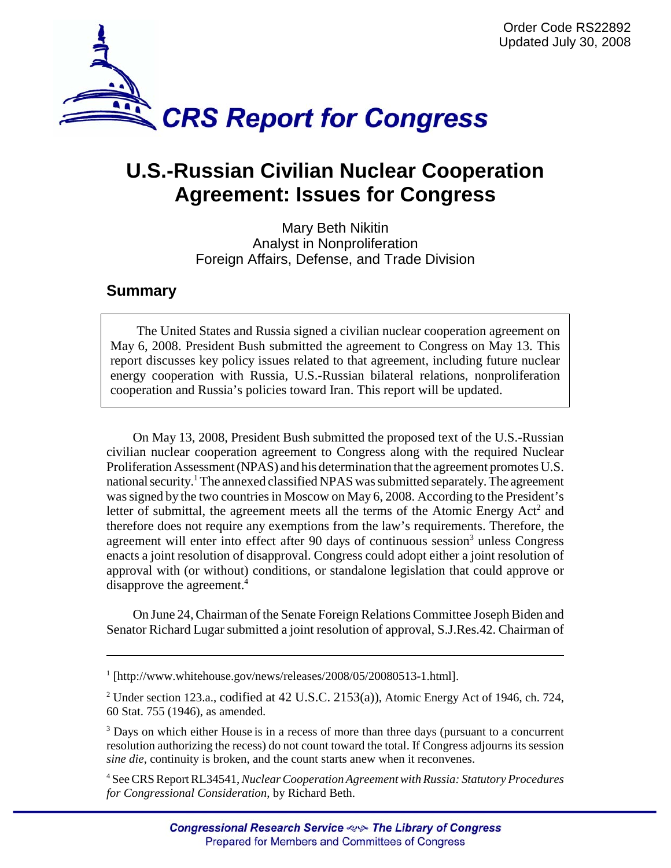

# **U.S.-Russian Civilian Nuclear Cooperation Agreement: Issues for Congress**

Mary Beth Nikitin Analyst in Nonproliferation Foreign Affairs, Defense, and Trade Division

## **Summary**

The United States and Russia signed a civilian nuclear cooperation agreement on May 6, 2008. President Bush submitted the agreement to Congress on May 13. This report discusses key policy issues related to that agreement, including future nuclear energy cooperation with Russia, U.S.-Russian bilateral relations, nonproliferation cooperation and Russia's policies toward Iran. This report will be updated.

On May 13, 2008, President Bush submitted the proposed text of the U.S.-Russian civilian nuclear cooperation agreement to Congress along with the required Nuclear Proliferation Assessment (NPAS) and his determination that the agreement promotes U.S. national security.<sup>1</sup> The annexed classified NPAS was submitted separately. The agreement was signed by the two countries in Moscow on May 6, 2008. According to the President's letter of submittal, the agreement meets all the terms of the Atomic Energy Act<sup>2</sup> and therefore does not require any exemptions from the law's requirements. Therefore, the agreement will enter into effect after 90 days of continuous session<sup>3</sup> unless Congress enacts a joint resolution of disapproval. Congress could adopt either a joint resolution of approval with (or without) conditions, or standalone legislation that could approve or disapprove the agreement.<sup>4</sup>

On June 24, Chairman of the Senate Foreign Relations Committee Joseph Biden and Senator Richard Lugar submitted a joint resolution of approval, S.J.Res.42. Chairman of

<sup>&</sup>lt;sup>1</sup> [http://www.whitehouse.gov/news/releases/2008/05/20080513-1.html].

<sup>&</sup>lt;sup>2</sup> Under section 123.a., codified at 42 U.S.C. 2153(a)), Atomic Energy Act of 1946, ch. 724, 60 Stat. 755 (1946), as amended.

<sup>&</sup>lt;sup>3</sup> Days on which either House is in a recess of more than three days (pursuant to a concurrent resolution authorizing the recess) do not count toward the total. If Congress adjourns its session *sine die*, continuity is broken, and the count starts anew when it reconvenes.

<sup>4</sup> See CRS Report RL34541, *Nuclear Cooperation Agreement with Russia: Statutory Procedures for Congressional Consideration*, by Richard Beth.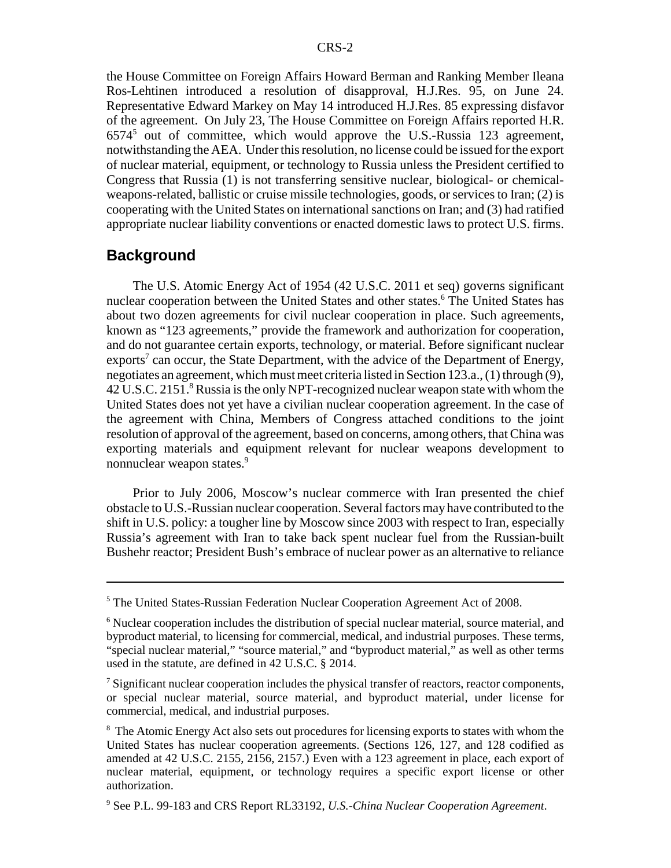the House Committee on Foreign Affairs Howard Berman and Ranking Member Ileana Ros-Lehtinen introduced a resolution of disapproval, H.J.Res. 95, on June 24. Representative Edward Markey on May 14 introduced H.J.Res. 85 expressing disfavor of the agreement. On July 23, The House Committee on Foreign Affairs reported H.R.  $6574<sup>5</sup>$  out of committee, which would approve the U.S.-Russia 123 agreement, notwithstanding the AEA. Under this resolution, no license could be issued for the export of nuclear material, equipment, or technology to Russia unless the President certified to Congress that Russia (1) is not transferring sensitive nuclear, biological- or chemicalweapons-related, ballistic or cruise missile technologies, goods, or services to Iran; (2) is cooperating with the United States on international sanctions on Iran; and (3) had ratified appropriate nuclear liability conventions or enacted domestic laws to protect U.S. firms.

#### **Background**

The U.S. Atomic Energy Act of 1954 (42 U.S.C. 2011 et seq) governs significant nuclear cooperation between the United States and other states.<sup>6</sup> The United States has about two dozen agreements for civil nuclear cooperation in place. Such agreements, known as "123 agreements," provide the framework and authorization for cooperation, and do not guarantee certain exports, technology, or material. Before significant nuclear exports<sup>7</sup> can occur, the State Department, with the advice of the Department of Energy, negotiates an agreement, which must meet criteria listed in Section 123.a., (1) through (9), 42 U.S.C. 2151.<sup>8</sup> Russia is the only NPT-recognized nuclear weapon state with whom the United States does not yet have a civilian nuclear cooperation agreement. In the case of the agreement with China, Members of Congress attached conditions to the joint resolution of approval of the agreement, based on concerns, among others, that China was exporting materials and equipment relevant for nuclear weapons development to nonnuclear weapon states.<sup>9</sup>

Prior to July 2006, Moscow's nuclear commerce with Iran presented the chief obstacle to U.S.-Russian nuclear cooperation. Several factors may have contributed to the shift in U.S. policy: a tougher line by Moscow since 2003 with respect to Iran, especially Russia's agreement with Iran to take back spent nuclear fuel from the Russian-built Bushehr reactor; President Bush's embrace of nuclear power as an alternative to reliance

<sup>&</sup>lt;sup>5</sup> The United States-Russian Federation Nuclear Cooperation Agreement Act of 2008.

<sup>&</sup>lt;sup>6</sup> Nuclear cooperation includes the distribution of special nuclear material, source material, and byproduct material, to licensing for commercial, medical, and industrial purposes. These terms, "special nuclear material," "source material," and "byproduct material," as well as other terms used in the statute, are defined in 42 U.S.C. § 2014.

 $<sup>7</sup>$  Significant nuclear cooperation includes the physical transfer of reactors, reactor components,</sup> or special nuclear material, source material, and byproduct material, under license for commercial, medical, and industrial purposes.

<sup>&</sup>lt;sup>8</sup> The Atomic Energy Act also sets out procedures for licensing exports to states with whom the United States has nuclear cooperation agreements. (Sections 126, 127, and 128 codified as amended at 42 U.S.C. 2155, 2156, 2157.) Even with a 123 agreement in place, each export of nuclear material, equipment, or technology requires a specific export license or other authorization.

<sup>9</sup> See P.L. 99-183 and CRS Report RL33192, *U.S.-China Nuclear Cooperation Agreement*.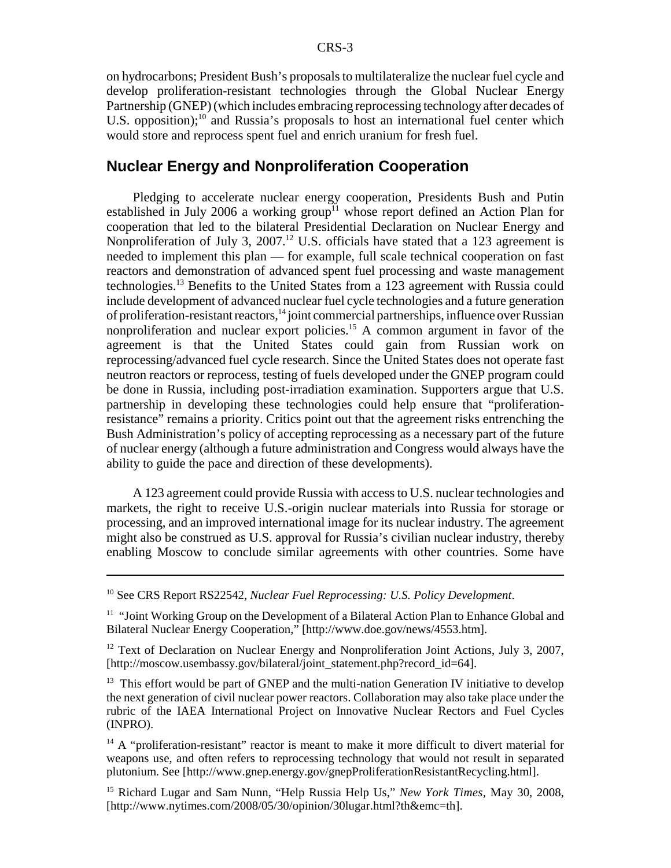on hydrocarbons; President Bush's proposals to multilateralize the nuclear fuel cycle and develop proliferation-resistant technologies through the Global Nuclear Energy Partnership (GNEP) (which includes embracing reprocessing technology after decades of U.S. opposition);<sup>10</sup> and Russia's proposals to host an international fuel center which would store and reprocess spent fuel and enrich uranium for fresh fuel.

### **Nuclear Energy and Nonproliferation Cooperation**

Pledging to accelerate nuclear energy cooperation, Presidents Bush and Putin established in July 2006 a working group<sup>11</sup> whose report defined an Action Plan for cooperation that led to the bilateral Presidential Declaration on Nuclear Energy and Nonproliferation of July 3, 2007.<sup>12</sup> U.S. officials have stated that a 123 agreement is needed to implement this plan — for example, full scale technical cooperation on fast reactors and demonstration of advanced spent fuel processing and waste management technologies.13 Benefits to the United States from a 123 agreement with Russia could include development of advanced nuclear fuel cycle technologies and a future generation of proliferation-resistant reactors,<sup>14</sup> joint commercial partnerships, influence over Russian nonproliferation and nuclear export policies.15 A common argument in favor of the agreement is that the United States could gain from Russian work on reprocessing/advanced fuel cycle research. Since the United States does not operate fast neutron reactors or reprocess, testing of fuels developed under the GNEP program could be done in Russia, including post-irradiation examination. Supporters argue that U.S. partnership in developing these technologies could help ensure that "proliferationresistance" remains a priority. Critics point out that the agreement risks entrenching the Bush Administration's policy of accepting reprocessing as a necessary part of the future of nuclear energy (although a future administration and Congress would always have the ability to guide the pace and direction of these developments).

A 123 agreement could provide Russia with access to U.S. nuclear technologies and markets, the right to receive U.S.-origin nuclear materials into Russia for storage or processing, and an improved international image for its nuclear industry. The agreement might also be construed as U.S. approval for Russia's civilian nuclear industry, thereby enabling Moscow to conclude similar agreements with other countries. Some have

15 Richard Lugar and Sam Nunn, "Help Russia Help Us," *New York Times*, May 30, 2008, [http://www.nytimes.com/2008/05/30/opinion/30lugar.html?th&emc=th].

<sup>10</sup> See CRS Report RS22542, *Nuclear Fuel Reprocessing: U.S. Policy Development*.

<sup>&</sup>lt;sup>11</sup> "Joint Working Group on the Development of a Bilateral Action Plan to Enhance Global and Bilateral Nuclear Energy Cooperation," [http://www.doe.gov/news/4553.htm].

<sup>&</sup>lt;sup>12</sup> Text of Declaration on Nuclear Energy and Nonproliferation Joint Actions, July 3, 2007, [http://moscow.usembassy.gov/bilateral/joint\_statement.php?record\_id=64].

<sup>&</sup>lt;sup>13</sup> This effort would be part of GNEP and the multi-nation Generation IV initiative to develop the next generation of civil nuclear power reactors. Collaboration may also take place under the rubric of the IAEA International Project on Innovative Nuclear Rectors and Fuel Cycles (INPRO).

<sup>&</sup>lt;sup>14</sup> A "proliferation-resistant" reactor is meant to make it more difficult to divert material for weapons use, and often refers to reprocessing technology that would not result in separated plutonium. See [http://www.gnep.energy.gov/gnepProliferationResistantRecycling.html].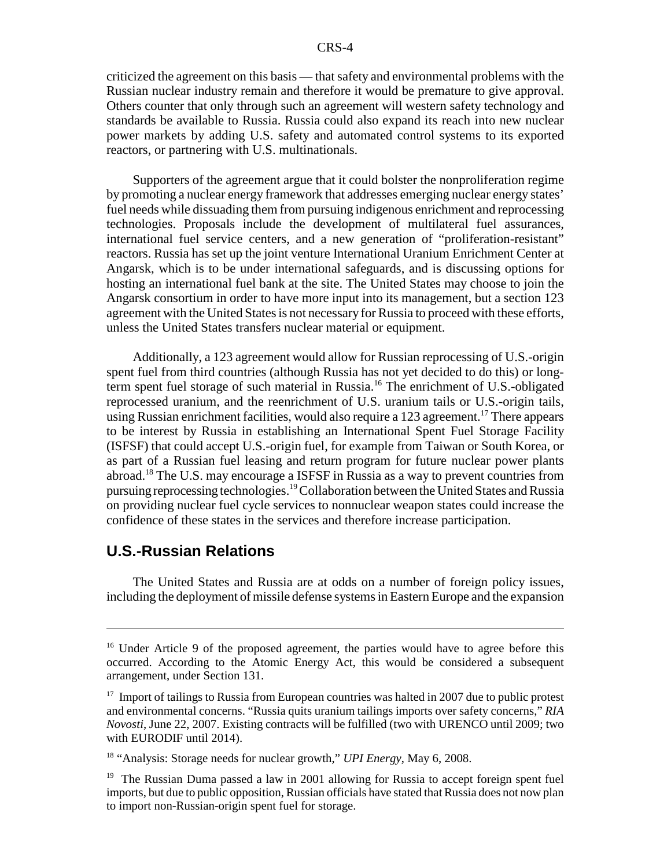criticized the agreement on this basis — that safety and environmental problems with the Russian nuclear industry remain and therefore it would be premature to give approval. Others counter that only through such an agreement will western safety technology and standards be available to Russia. Russia could also expand its reach into new nuclear power markets by adding U.S. safety and automated control systems to its exported reactors, or partnering with U.S. multinationals.

Supporters of the agreement argue that it could bolster the nonproliferation regime by promoting a nuclear energy framework that addresses emerging nuclear energy states' fuel needs while dissuading them from pursuing indigenous enrichment and reprocessing technologies. Proposals include the development of multilateral fuel assurances, international fuel service centers, and a new generation of "proliferation-resistant" reactors. Russia has set up the joint venture International Uranium Enrichment Center at Angarsk, which is to be under international safeguards, and is discussing options for hosting an international fuel bank at the site. The United States may choose to join the Angarsk consortium in order to have more input into its management, but a section 123 agreement with the United States is not necessary for Russia to proceed with these efforts, unless the United States transfers nuclear material or equipment.

Additionally, a 123 agreement would allow for Russian reprocessing of U.S.-origin spent fuel from third countries (although Russia has not yet decided to do this) or longterm spent fuel storage of such material in Russia.16 The enrichment of U.S.-obligated reprocessed uranium, and the reenrichment of U.S. uranium tails or U.S.-origin tails, using Russian enrichment facilities, would also require a  $123$  agreement.<sup>17</sup> There appears to be interest by Russia in establishing an International Spent Fuel Storage Facility (ISFSF) that could accept U.S.-origin fuel, for example from Taiwan or South Korea, or as part of a Russian fuel leasing and return program for future nuclear power plants abroad.18 The U.S. may encourage a ISFSF in Russia as a way to prevent countries from pursuing reprocessing technologies.19 Collaboration between the United States and Russia on providing nuclear fuel cycle services to nonnuclear weapon states could increase the confidence of these states in the services and therefore increase participation.

#### **U.S.-Russian Relations**

The United States and Russia are at odds on a number of foreign policy issues, including the deployment of missile defense systems in Eastern Europe and the expansion

<sup>&</sup>lt;sup>16</sup> Under Article 9 of the proposed agreement, the parties would have to agree before this occurred. According to the Atomic Energy Act, this would be considered a subsequent arrangement, under Section 131.

<sup>&</sup>lt;sup>17</sup> Import of tailings to Russia from European countries was halted in 2007 due to public protest and environmental concerns. "Russia quits uranium tailings imports over safety concerns," *RIA Novosti*, June 22, 2007. Existing contracts will be fulfilled (two with URENCO until 2009; two with EURODIF until 2014).

<sup>18 &</sup>quot;Analysis: Storage needs for nuclear growth," *UPI Energy*, May 6, 2008.

<sup>&</sup>lt;sup>19</sup> The Russian Duma passed a law in 2001 allowing for Russia to accept foreign spent fuel imports, but due to public opposition, Russian officials have stated that Russia does not now plan to import non-Russian-origin spent fuel for storage.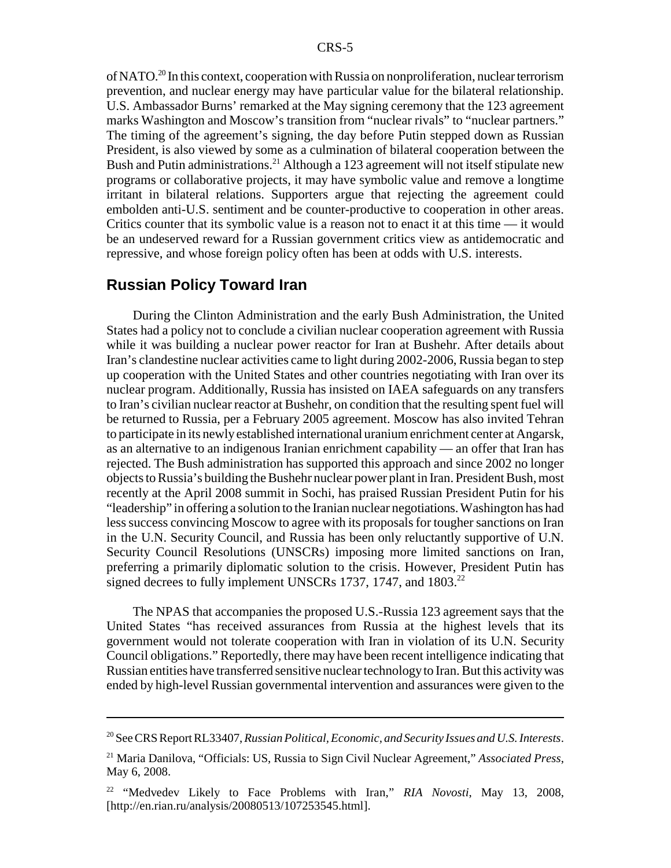of NATO.20 In this context, cooperation with Russia on nonproliferation, nuclear terrorism prevention, and nuclear energy may have particular value for the bilateral relationship. U.S. Ambassador Burns' remarked at the May signing ceremony that the 123 agreement marks Washington and Moscow's transition from "nuclear rivals" to "nuclear partners." The timing of the agreement's signing, the day before Putin stepped down as Russian President, is also viewed by some as a culmination of bilateral cooperation between the Bush and Putin administrations.<sup>21</sup> Although a 123 agreement will not itself stipulate new programs or collaborative projects, it may have symbolic value and remove a longtime irritant in bilateral relations. Supporters argue that rejecting the agreement could embolden anti-U.S. sentiment and be counter-productive to cooperation in other areas. Critics counter that its symbolic value is a reason not to enact it at this time — it would be an undeserved reward for a Russian government critics view as antidemocratic and repressive, and whose foreign policy often has been at odds with U.S. interests.

#### **Russian Policy Toward Iran**

During the Clinton Administration and the early Bush Administration, the United States had a policy not to conclude a civilian nuclear cooperation agreement with Russia while it was building a nuclear power reactor for Iran at Bushehr. After details about Iran's clandestine nuclear activities came to light during 2002-2006, Russia began to step up cooperation with the United States and other countries negotiating with Iran over its nuclear program. Additionally, Russia has insisted on IAEA safeguards on any transfers to Iran's civilian nuclear reactor at Bushehr, on condition that the resulting spent fuel will be returned to Russia, per a February 2005 agreement. Moscow has also invited Tehran to participate in its newly established international uranium enrichment center at Angarsk, as an alternative to an indigenous Iranian enrichment capability — an offer that Iran has rejected. The Bush administration has supported this approach and since 2002 no longer objects to Russia's building the Bushehr nuclear power plant in Iran. President Bush, most recently at the April 2008 summit in Sochi, has praised Russian President Putin for his "leadership" in offering a solution to the Iranian nuclear negotiations. Washington has had less success convincing Moscow to agree with its proposals for tougher sanctions on Iran in the U.N. Security Council, and Russia has been only reluctantly supportive of U.N. Security Council Resolutions (UNSCRs) imposing more limited sanctions on Iran, preferring a primarily diplomatic solution to the crisis. However, President Putin has signed decrees to fully implement UNSCRs 1737, 1747, and 1803.<sup>22</sup>

The NPAS that accompanies the proposed U.S.-Russia 123 agreement says that the United States "has received assurances from Russia at the highest levels that its government would not tolerate cooperation with Iran in violation of its U.N. Security Council obligations." Reportedly, there may have been recent intelligence indicating that Russian entities have transferred sensitive nuclear technology to Iran. But this activity was ended by high-level Russian governmental intervention and assurances were given to the

<sup>20</sup> See CRS Report RL33407, *Russian Political, Economic, and Security Issues and U.S. Interests*.

<sup>21</sup> Maria Danilova, "Officials: US, Russia to Sign Civil Nuclear Agreement," *Associated Press*, May 6, 2008.

<sup>22 &</sup>quot;Medvedev Likely to Face Problems with Iran," *RIA Novosti*, May 13, 2008, [http://en.rian.ru/analysis/20080513/107253545.html].